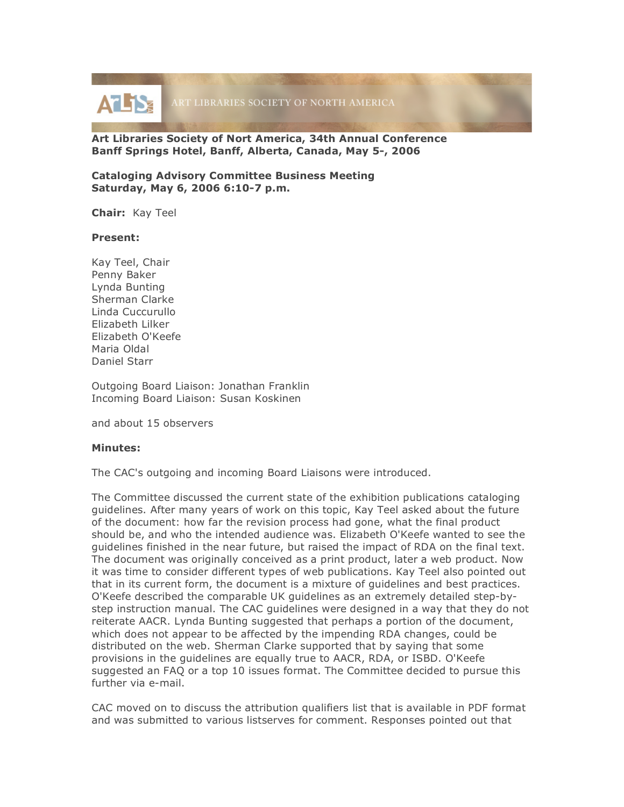ART LIBRARIES SOCIETY OF NORTH AMERICA **AT TS:** 

## **Art Libraries Society of Nort America, 34th Annual Conference Banff Springs Hotel, Banff, Alberta, Canada, May 5-, 2006**

**Cataloging Advisory Committee Business Meeting Saturday, May 6, 2006 6:10-7 p.m.**

**Chair:** Kay Teel

## **Present:**

Kay Teel, Chair Penny Baker Lynda Bunting Sherman Clarke Linda Cuccurullo Elizabeth Lilker Elizabeth O'Keefe Maria Oldal Daniel Starr

Outgoing Board Liaison: Jonathan Franklin Incoming Board Liaison: Susan Koskinen

and about 15 observers

## **Minutes:**

The CAC's outgoing and incoming Board Liaisons were introduced.

The Committee discussed the current state of the exhibition publications cataloging guidelines. After many years of work on this topic, Kay Teel asked about the future of the document: how far the revision process had gone, what the final product should be, and who the intended audience was. Elizabeth O'Keefe wanted to see the guidelines finished in the near future, but raised the impact of RDA on the final text. The document was originally conceived as a print product, later a web product. Now it was time to consider different types of web publications. Kay Teel also pointed out that in its current form, the document is a mixture of guidelines and best practices. O'Keefe described the comparable UK guidelines as an extremely detailed step-bystep instruction manual. The CAC guidelines were designed in a way that they do not reiterate AACR. Lynda Bunting suggested that perhaps a portion of the document, which does not appear to be affected by the impending RDA changes, could be distributed on the web. Sherman Clarke supported that by saying that some provisions in the guidelines are equally true to AACR, RDA, or ISBD. O'Keefe suggested an FAQ or a top 10 issues format. The Committee decided to pursue this further via e-mail.

CAC moved on to discuss the attribution qualifiers list that is available in PDF format and was submitted to various listserves for comment. Responses pointed out that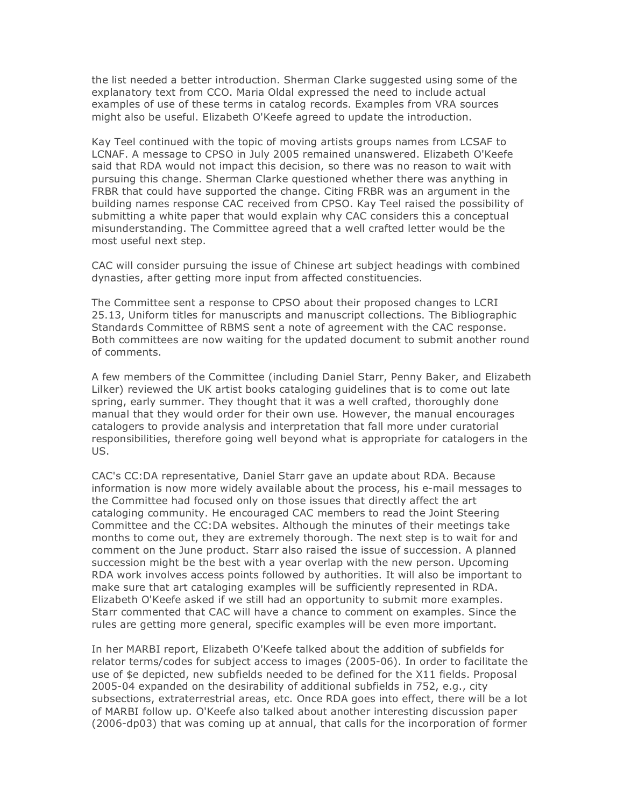the list needed a better introduction. Sherman Clarke suggested using some of the explanatory text from CCO. Maria Oldal expressed the need to include actual examples of use of these terms in catalog records. Examples from VRA sources might also be useful. Elizabeth O'Keefe agreed to update the introduction.

Kay Teel continued with the topic of moving artists groups names from LCSAF to LCNAF. A message to CPSO in July 2005 remained unanswered. Elizabeth O'Keefe said that RDA would not impact this decision, so there was no reason to wait with pursuing this change. Sherman Clarke questioned whether there was anything in FRBR that could have supported the change. Citing FRBR was an argument in the building names response CAC received from CPSO. Kay Teel raised the possibility of submitting a white paper that would explain why CAC considers this a conceptual misunderstanding. The Committee agreed that a well crafted letter would be the most useful next step.

CAC will consider pursuing the issue of Chinese art subject headings with combined dynasties, after getting more input from affected constituencies.

The Committee sent a response to CPSO about their proposed changes to LCRI 25.13, Uniform titles for manuscripts and manuscript collections. The Bibliographic Standards Committee of RBMS sent a note of agreement with the CAC response. Both committees are now waiting for the updated document to submit another round of comments.

A few members of the Committee (including Daniel Starr, Penny Baker, and Elizabeth Lilker) reviewed the UK artist books cataloging guidelines that is to come out late spring, early summer. They thought that it was a well crafted, thoroughly done manual that they would order for their own use. However, the manual encourages catalogers to provide analysis and interpretation that fall more under curatorial responsibilities, therefore going well beyond what is appropriate for catalogers in the US.

CAC's CC:DA representative, Daniel Starr gave an update about RDA. Because information is now more widely available about the process, his e-mail messages to the Committee had focused only on those issues that directly affect the art cataloging community. He encouraged CAC members to read the Joint Steering Committee and the CC:DA websites. Although the minutes of their meetings take months to come out, they are extremely thorough. The next step is to wait for and comment on the June product. Starr also raised the issue of succession. A planned succession might be the best with a year overlap with the new person. Upcoming RDA work involves access points followed by authorities. It will also be important to make sure that art cataloging examples will be sufficiently represented in RDA. Elizabeth O'Keefe asked if we still had an opportunity to submit more examples. Starr commented that CAC will have a chance to comment on examples. Since the rules are getting more general, specific examples will be even more important.

In her MARBI report, Elizabeth O'Keefe talked about the addition of subfields for relator terms/codes for subject access to images (2005-06). In order to facilitate the use of \$e depicted, new subfields needed to be defined for the X11 fields. Proposal 2005-04 expanded on the desirability of additional subfields in 752, e.g., city subsections, extraterrestrial areas, etc. Once RDA goes into effect, there will be a lot of MARBI follow up. O'Keefe also talked about another interesting discussion paper (2006-dp03) that was coming up at annual, that calls for the incorporation of former